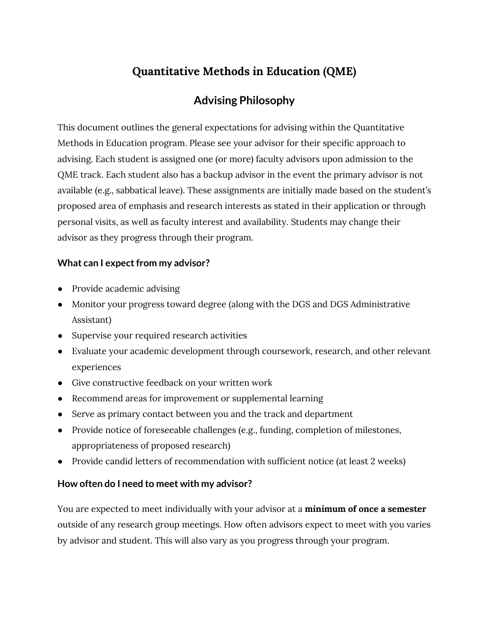# **Quantitative Methods in Education (QME)**

# **Advising Philosophy**

This document outlines the general expectations for advising within the Quantitative Methods in Education program. Please see your advisor for their specific approach to advising. Each student is assigned one (or more) faculty advisors upon admission to the QME track. Each student also has a backup advisor in the event the primary advisor is not available (e.g., sabbatical leave). These assignments are initially made based on the student's proposed area of emphasis and research interests as stated in their application or through personal visits, as well as faculty interest and availability. Students may change their advisor as they progress through their program.

#### **What can I expect from my advisor?**

- Provide academic advising
- Monitor your progress toward degree (along with the DGS and DGS Administrative Assistant)
- Supervise your required research activities
- Evaluate your academic development through coursework, research, and other relevant experiences
- Give constructive feedback on your written work
- Recommend areas for improvement or supplemental learning
- Serve as primary contact between you and the track and department
- Provide notice of foreseeable challenges (e.g., funding, completion of milestones, appropriateness of proposed research)
- Provide candid letters of recommendation with sufficient notice (at least 2 weeks)

#### **How often do I need to meet with my advisor?**

You are expected to meet individually with your advisor at a **minimum of once a semester** outside of any research group meetings. How often advisors expect to meet with you varies by advisor and student. This will also vary as you progress through your program.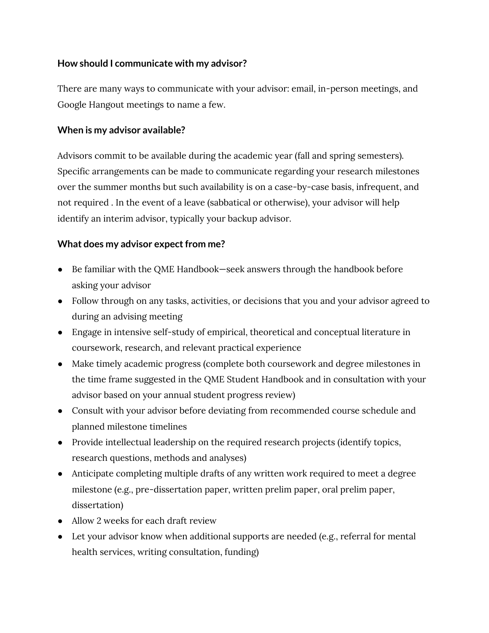#### **How should I communicate with my advisor?**

There are many ways to communicate with your advisor: email, in-person meetings, and Google Hangout meetings to name a few.

#### **When is my advisor available?**

Advisors commit to be available during the academic year (fall and spring semesters). Specific arrangements can be made to communicate regarding your research milestones over the summer months but such availability is on a case-by-case basis, infrequent, and not required . In the event of a leave (sabbatical or otherwise), your advisor will help identify an interim advisor, typically your backup advisor.

#### **What does my advisor expect from me?**

- Be familiar with the QME Handbook—seek answers through the handbook before asking your advisor
- Follow through on any tasks, activities, or decisions that you and your advisor agreed to during an advising meeting
- Engage in intensive self-study of empirical, theoretical and conceptual literature in coursework, research, and relevant practical experience
- Make timely academic progress (complete both coursework and degree milestones in the time frame suggested in the QME Student Handbook and in consultation with your advisor based on your annual student progress review)
- Consult with your advisor before deviating from recommended course schedule and planned milestone timelines
- Provide intellectual leadership on the required research projects (identify topics, research questions, methods and analyses)
- Anticipate completing multiple drafts of any written work required to meet a degree milestone (e.g., pre-dissertation paper, written prelim paper, oral prelim paper, dissertation)
- Allow 2 weeks for each draft review
- Let your advisor know when additional supports are needed (e.g., referral for mental health services, writing consultation, funding)